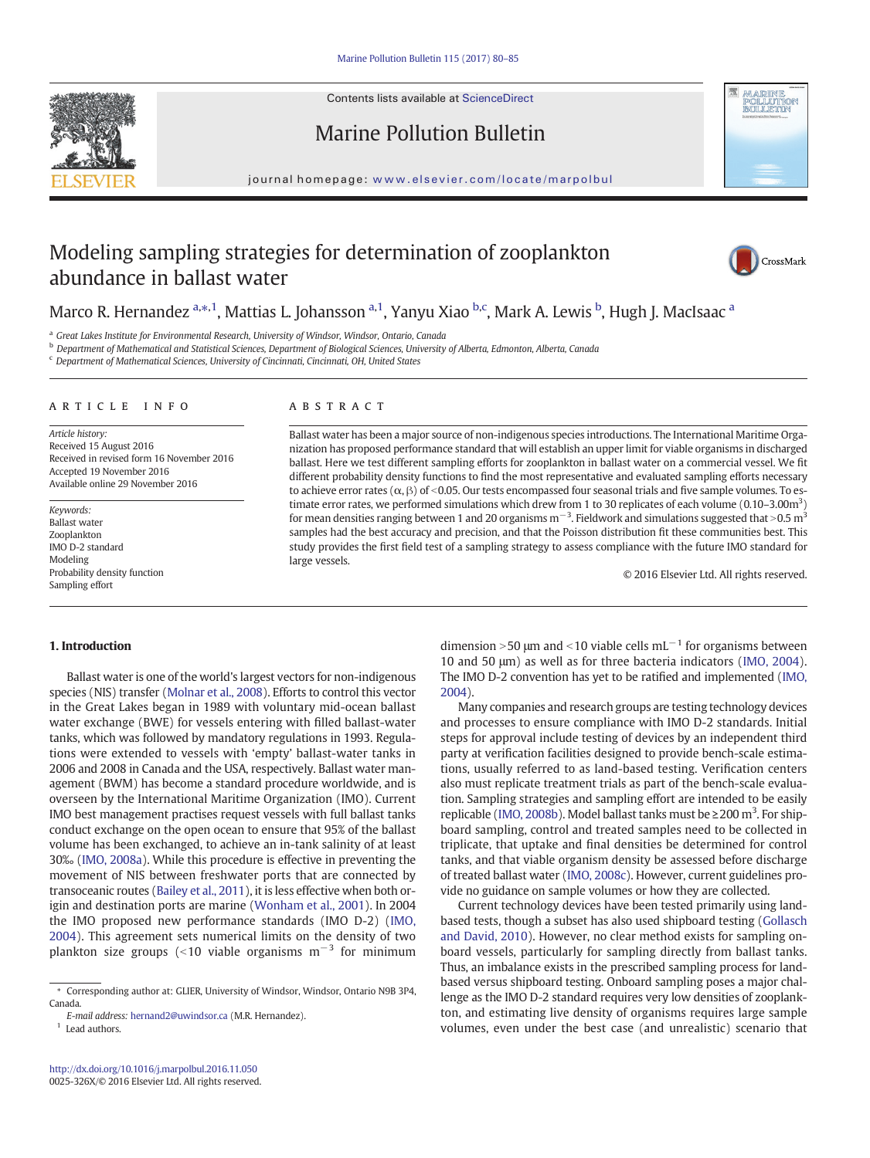



# Marine Pollution Bulletin

journal homepage: <www.elsevier.com/locate/marpolbul>

# Modeling sampling strategies for determination of zooplankton abundance in ballast water



Marco R. Hernandez a,\*,1, Mattias L. Johansson <sup>a,1</sup>, Yanyu Xiao <sup>b,c</sup>, Mark A. Lewis <sup>b</sup>, Hugh J. MacIsaac <sup>a</sup>

<sup>a</sup> Great Lakes Institute for Environmental Research, University of Windsor, Windsor, Ontario, Canada

**b** Department of Mathematical and Statistical Sciences, Department of Biological Sciences, University of Alberta, Edmonton, Alberta, Canada

<sup>c</sup> Department of Mathematical Sciences, University of Cincinnati, Cincinnati, OH, United States

#### article info abstract

Article history: Received 15 August 2016 Received in revised form 16 November 2016 Accepted 19 November 2016 Available online 29 November 2016

Keywords: Ballast water Zooplankton IMO D-2 standard Modeling Probability density function Sampling effort

Ballast water has been a major source of non-indigenous species introductions. The International Maritime Organization has proposed performance standard that will establish an upper limit for viable organisms in discharged ballast. Here we test different sampling efforts for zooplankton in ballast water on a commercial vessel. We fit different probability density functions to find the most representative and evaluated sampling efforts necessary to achieve error rates ( $\alpha$ , β) of <0.05. Our tests encompassed four seasonal trials and five sample volumes. To estimate error rates, we performed simulations which drew from 1 to 30 replicates of each volume (0.10–3.00m<sup>3</sup>) for mean densities ranging between 1 and 20 organisms  $m^{-3}$ . Fieldwork and simulations suggested that >0.5  $m^3$ samples had the best accuracy and precision, and that the Poisson distribution fit these communities best. This study provides the first field test of a sampling strategy to assess compliance with the future IMO standard for large vessels.

© 2016 Elsevier Ltd. All rights reserved.

## 1. Introduction

Ballast water is one of the world's largest vectors for non-indigenous species (NIS) transfer [\(Molnar et al., 2008\)](#page-5-0). Efforts to control this vector in the Great Lakes began in 1989 with voluntary mid-ocean ballast water exchange (BWE) for vessels entering with filled ballast-water tanks, which was followed by mandatory regulations in 1993. Regulations were extended to vessels with 'empty' ballast-water tanks in 2006 and 2008 in Canada and the USA, respectively. Ballast water management (BWM) has become a standard procedure worldwide, and is overseen by the International Maritime Organization (IMO). Current IMO best management practises request vessels with full ballast tanks conduct exchange on the open ocean to ensure that 95% of the ballast volume has been exchanged, to achieve an in-tank salinity of at least 30‰ [\(IMO, 2008a](#page-5-0)). While this procedure is effective in preventing the movement of NIS between freshwater ports that are connected by transoceanic routes [\(Bailey et al., 2011\)](#page-5-0), it is less effective when both origin and destination ports are marine [\(Wonham et al., 2001\)](#page-5-0). In 2004 the IMO proposed new performance standards (IMO D-2) [\(IMO,](#page-5-0) [2004](#page-5-0)). This agreement sets numerical limits on the density of two plankton size groups (<10 viable organisms  $m^{-3}$  for minimum

 $1$  Lead authors.

dimension >50  $\mu$ m and <10 viable cells mL<sup>-1</sup> for organisms between 10 and 50 μm) as well as for three bacteria indicators ([IMO, 2004](#page-5-0)). The IMO D-2 convention has yet to be ratified and implemented ([IMO,](#page-5-0) [2004\)](#page-5-0).

Many companies and research groups are testing technology devices and processes to ensure compliance with IMO D-2 standards. Initial steps for approval include testing of devices by an independent third party at verification facilities designed to provide bench-scale estimations, usually referred to as land-based testing. Verification centers also must replicate treatment trials as part of the bench-scale evaluation. Sampling strategies and sampling effort are intended to be easily replicable [\(IMO, 2008b\)](#page-5-0). Model ballast tanks must be  $\geq$  200 m<sup>3</sup>. For shipboard sampling, control and treated samples need to be collected in triplicate, that uptake and final densities be determined for control tanks, and that viable organism density be assessed before discharge of treated ballast water [\(IMO, 2008c\)](#page-5-0). However, current guidelines provide no guidance on sample volumes or how they are collected.

Current technology devices have been tested primarily using landbased tests, though a subset has also used shipboard testing [\(Gollasch](#page-5-0) [and David, 2010](#page-5-0)). However, no clear method exists for sampling onboard vessels, particularly for sampling directly from ballast tanks. Thus, an imbalance exists in the prescribed sampling process for landbased versus shipboard testing. Onboard sampling poses a major challenge as the IMO D-2 standard requires very low densities of zooplankton, and estimating live density of organisms requires large sample volumes, even under the best case (and unrealistic) scenario that

<sup>⁎</sup> Corresponding author at: GLIER, University of Windsor, Windsor, Ontario N9B 3P4, Canada.

E-mail address: [hernand2@uwindsor.ca](mailto:hernand2@uwindsor.ca) (M.R. Hernandez).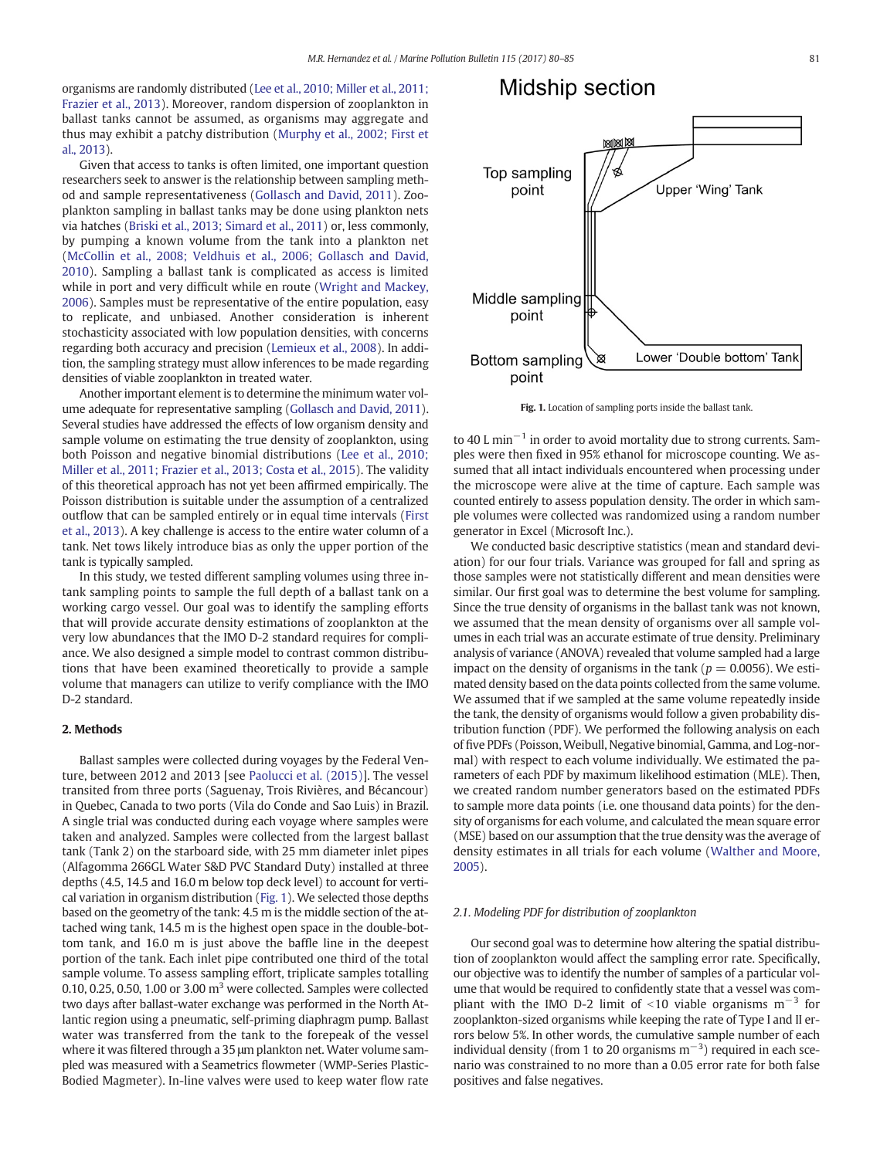organisms are randomly distributed [\(Lee et al., 2010; Miller et al., 2011;](#page-5-0) [Frazier et al., 2013](#page-5-0)). Moreover, random dispersion of zooplankton in ballast tanks cannot be assumed, as organisms may aggregate and thus may exhibit a patchy distribution [\(Murphy et al., 2002; First et](#page-5-0) [al., 2013](#page-5-0)).

Given that access to tanks is often limited, one important question researchers seek to answer is the relationship between sampling method and sample representativeness ([Gollasch and David, 2011\)](#page-5-0). Zooplankton sampling in ballast tanks may be done using plankton nets via hatches [\(Briski et al., 2013; Simard et al., 2011](#page-5-0)) or, less commonly, by pumping a known volume from the tank into a plankton net [\(McCollin et al., 2008; Veldhuis et al., 2006; Gollasch and David,](#page-5-0) [2010\)](#page-5-0). Sampling a ballast tank is complicated as access is limited while in port and very difficult while en route ([Wright and Mackey,](#page-5-0) [2006\)](#page-5-0). Samples must be representative of the entire population, easy to replicate, and unbiased. Another consideration is inherent stochasticity associated with low population densities, with concerns regarding both accuracy and precision ([Lemieux et al., 2008\)](#page-5-0). In addition, the sampling strategy must allow inferences to be made regarding densities of viable zooplankton in treated water.

Another important element is to determine the minimum water volume adequate for representative sampling ([Gollasch and David, 2011](#page-5-0)). Several studies have addressed the effects of low organism density and sample volume on estimating the true density of zooplankton, using both Poisson and negative binomial distributions ([Lee et al., 2010;](#page-5-0) [Miller et al., 2011; Frazier et al., 2013; Costa et al., 2015](#page-5-0)). The validity of this theoretical approach has not yet been affirmed empirically. The Poisson distribution is suitable under the assumption of a centralized outflow that can be sampled entirely or in equal time intervals ([First](#page-5-0) [et al., 2013\)](#page-5-0). A key challenge is access to the entire water column of a tank. Net tows likely introduce bias as only the upper portion of the tank is typically sampled.

In this study, we tested different sampling volumes using three intank sampling points to sample the full depth of a ballast tank on a working cargo vessel. Our goal was to identify the sampling efforts that will provide accurate density estimations of zooplankton at the very low abundances that the IMO D-2 standard requires for compliance. We also designed a simple model to contrast common distributions that have been examined theoretically to provide a sample volume that managers can utilize to verify compliance with the IMO D-2 standard.

# 2. Methods

Ballast samples were collected during voyages by the Federal Venture, between 2012 and 2013 [see [Paolucci et al. \(2015\)\]](#page-5-0). The vessel transited from three ports (Saguenay, Trois Rivières, and Bécancour) in Quebec, Canada to two ports (Vila do Conde and Sao Luis) in Brazil. A single trial was conducted during each voyage where samples were taken and analyzed. Samples were collected from the largest ballast tank (Tank 2) on the starboard side, with 25 mm diameter inlet pipes (Alfagomma 266GL Water S&D PVC Standard Duty) installed at three depths (4.5, 14.5 and 16.0 m below top deck level) to account for vertical variation in organism distribution (Fig. 1). We selected those depths based on the geometry of the tank: 4.5 m is the middle section of the attached wing tank, 14.5 m is the highest open space in the double-bottom tank, and 16.0 m is just above the baffle line in the deepest portion of the tank. Each inlet pipe contributed one third of the total sample volume. To assess sampling effort, triplicate samples totalling 0.10, 0.25, 0.50, 1.00 or 3.00  $m<sup>3</sup>$  were collected. Samples were collected two days after ballast-water exchange was performed in the North Atlantic region using a pneumatic, self-priming diaphragm pump. Ballast water was transferred from the tank to the forepeak of the vessel where it was filtered through a 35 μm plankton net. Water volume sampled was measured with a Seametrics flowmeter (WMP-Series Plastic-Bodied Magmeter). In-line valves were used to keep water flow rate

# Midship section



Fig. 1. Location of sampling ports inside the ballast tank.

to 40 L min<sup> $-1$ </sup> in order to avoid mortality due to strong currents. Samples were then fixed in 95% ethanol for microscope counting. We assumed that all intact individuals encountered when processing under the microscope were alive at the time of capture. Each sample was counted entirely to assess population density. The order in which sample volumes were collected was randomized using a random number generator in Excel (Microsoft Inc.).

We conducted basic descriptive statistics (mean and standard deviation) for our four trials. Variance was grouped for fall and spring as those samples were not statistically different and mean densities were similar. Our first goal was to determine the best volume for sampling. Since the true density of organisms in the ballast tank was not known, we assumed that the mean density of organisms over all sample volumes in each trial was an accurate estimate of true density. Preliminary analysis of variance (ANOVA) revealed that volume sampled had a large impact on the density of organisms in the tank ( $p = 0.0056$ ). We estimated density based on the data points collected from the same volume. We assumed that if we sampled at the same volume repeatedly inside the tank, the density of organisms would follow a given probability distribution function (PDF). We performed the following analysis on each of five PDFs (Poisson, Weibull, Negative binomial, Gamma, and Log-normal) with respect to each volume individually. We estimated the parameters of each PDF by maximum likelihood estimation (MLE). Then, we created random number generators based on the estimated PDFs to sample more data points (i.e. one thousand data points) for the density of organisms for each volume, and calculated the mean square error (MSE) based on our assumption that the true density was the average of density estimates in all trials for each volume ([Walther and Moore,](#page-5-0) [2005](#page-5-0)).

## 2.1. Modeling PDF for distribution of zooplankton

Our second goal was to determine how altering the spatial distribution of zooplankton would affect the sampling error rate. Specifically, our objective was to identify the number of samples of a particular volume that would be required to confidently state that a vessel was compliant with the IMO D-2 limit of <10 viable organisms m<sup>-3</sup> for zooplankton-sized organisms while keeping the rate of Type I and II errors below 5%. In other words, the cumulative sample number of each individual density (from 1 to 20 organisms  $m^{-3}$ ) required in each scenario was constrained to no more than a 0.05 error rate for both false positives and false negatives.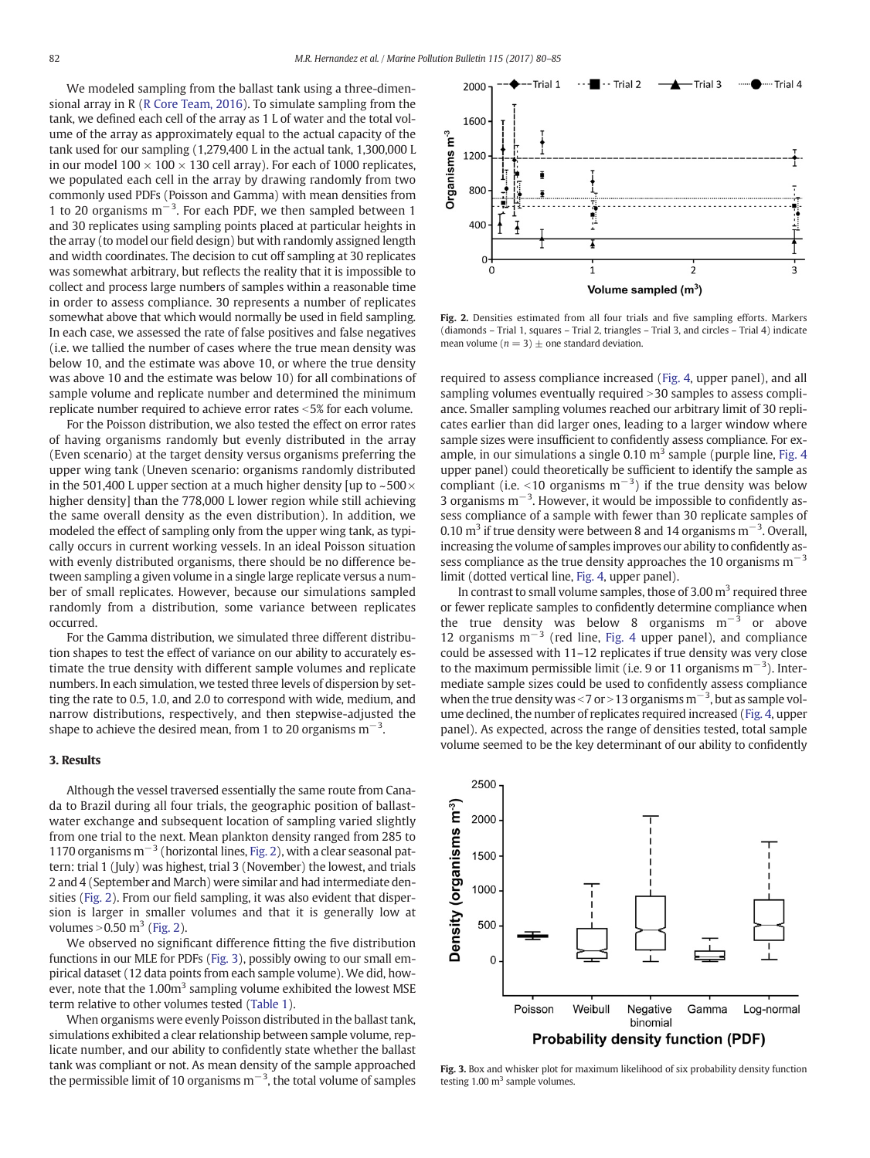<span id="page-2-0"></span>We modeled sampling from the ballast tank using a three-dimensional array in R [\(R Core Team, 2016](#page-5-0)). To simulate sampling from the tank, we defined each cell of the array as 1 L of water and the total volume of the array as approximately equal to the actual capacity of the tank used for our sampling (1,279,400 L in the actual tank, 1,300,000 L in our model  $100 \times 100 \times 130$  cell array). For each of 1000 replicates, we populated each cell in the array by drawing randomly from two commonly used PDFs (Poisson and Gamma) with mean densities from 1 to 20 organisms m−<sup>3</sup> . For each PDF, we then sampled between 1 and 30 replicates using sampling points placed at particular heights in the array (to model our field design) but with randomly assigned length and width coordinates. The decision to cut off sampling at 30 replicates was somewhat arbitrary, but reflects the reality that it is impossible to collect and process large numbers of samples within a reasonable time in order to assess compliance. 30 represents a number of replicates somewhat above that which would normally be used in field sampling. In each case, we assessed the rate of false positives and false negatives (i.e. we tallied the number of cases where the true mean density was below 10, and the estimate was above 10, or where the true density was above 10 and the estimate was below 10) for all combinations of sample volume and replicate number and determined the minimum replicate number required to achieve error rates  $<$  5% for each volume.

For the Poisson distribution, we also tested the effect on error rates of having organisms randomly but evenly distributed in the array (Even scenario) at the target density versus organisms preferring the upper wing tank (Uneven scenario: organisms randomly distributed in the 501,400 L upper section at a much higher density [up to  $\sim$  500 $\times$ higher density] than the 778,000 L lower region while still achieving the same overall density as the even distribution). In addition, we modeled the effect of sampling only from the upper wing tank, as typically occurs in current working vessels. In an ideal Poisson situation with evenly distributed organisms, there should be no difference between sampling a given volume in a single large replicate versus a number of small replicates. However, because our simulations sampled randomly from a distribution, some variance between replicates occurred.

For the Gamma distribution, we simulated three different distribution shapes to test the effect of variance on our ability to accurately estimate the true density with different sample volumes and replicate numbers. In each simulation, we tested three levels of dispersion by setting the rate to 0.5, 1.0, and 2.0 to correspond with wide, medium, and narrow distributions, respectively, and then stepwise-adjusted the shape to achieve the desired mean, from 1 to 20 organisms  $m^{-3}$ .

## 3. Results

Although the vessel traversed essentially the same route from Canada to Brazil during all four trials, the geographic position of ballastwater exchange and subsequent location of sampling varied slightly from one trial to the next. Mean plankton density ranged from 285 to 1170 organisms  $m^{-3}$  (horizontal lines, Fig. 2), with a clear seasonal pattern: trial 1 (July) was highest, trial 3 (November) the lowest, and trials 2 and 4 (September and March) were similar and had intermediate densities (Fig. 2). From our field sampling, it was also evident that dispersion is larger in smaller volumes and that it is generally low at volumes  $>0.50$  m<sup>3</sup> (Fig. 2).

We observed no significant difference fitting the five distribution functions in our MLE for PDFs (Fig. 3), possibly owing to our small empirical dataset (12 data points from each sample volume). We did, however, note that the  $1.00m<sup>3</sup>$  sampling volume exhibited the lowest MSE term relative to other volumes tested ([Table 1](#page-3-0)).

When organisms were evenly Poisson distributed in the ballast tank, simulations exhibited a clear relationship between sample volume, replicate number, and our ability to confidently state whether the ballast tank was compliant or not. As mean density of the sample approached the permissible limit of 10 organisms  $m^{-3}$ , the total volume of samples



Fig. 2. Densities estimated from all four trials and five sampling efforts. Markers (diamonds – Trial 1, squares – Trial 2, triangles – Trial 3, and circles – Trial 4) indicate mean volume ( $n = 3$ )  $\pm$  one standard deviation.

required to assess compliance increased [\(Fig. 4,](#page-3-0) upper panel), and all sampling volumes eventually required  $>$  30 samples to assess compliance. Smaller sampling volumes reached our arbitrary limit of 30 replicates earlier than did larger ones, leading to a larger window where sample sizes were insufficient to confidently assess compliance. For example, in our simulations a single  $0.10 \text{ m}^3$  sample (purple line, [Fig. 4](#page-3-0)) upper panel) could theoretically be sufficient to identify the sample as compliant (i.e. <10 organisms  $m^{-3}$ ) if the true density was below 3 organisms m<sup>-3</sup>. However, it would be impossible to confidently assess compliance of a sample with fewer than 30 replicate samples of 0.10  $\text{m}^3$  if true density were between 8 and 14 organisms  $\text{m}^{-3}$ . Overall, increasing the volume of samples improves our ability to confidently assess compliance as the true density approaches the 10 organisms  $m^{-3}$ limit (dotted vertical line, [Fig. 4](#page-3-0), upper panel).

In contrast to small volume samples, those of 3.00  $m<sup>3</sup>$  required three or fewer replicate samples to confidently determine compliance when the true density was below 8 organisms  $m^{-3}$  or above 12 organisms  $m^{-3}$  (red line, [Fig. 4](#page-3-0) upper panel), and compliance could be assessed with 11–12 replicates if true density was very close to the maximum permissible limit (i.e. 9 or 11 organisms  $m^{-3}$ ). Intermediate sample sizes could be used to confidently assess compliance when the true density was <7 or >13 organisms m<sup>-3</sup>, but as sample volume declined, the number of replicates required increased [\(Fig. 4](#page-3-0), upper panel). As expected, across the range of densities tested, total sample volume seemed to be the key determinant of our ability to confidently



Fig. 3. Box and whisker plot for maximum likelihood of six probability density function testing  $1.00 \text{ m}^3$  sample volumes.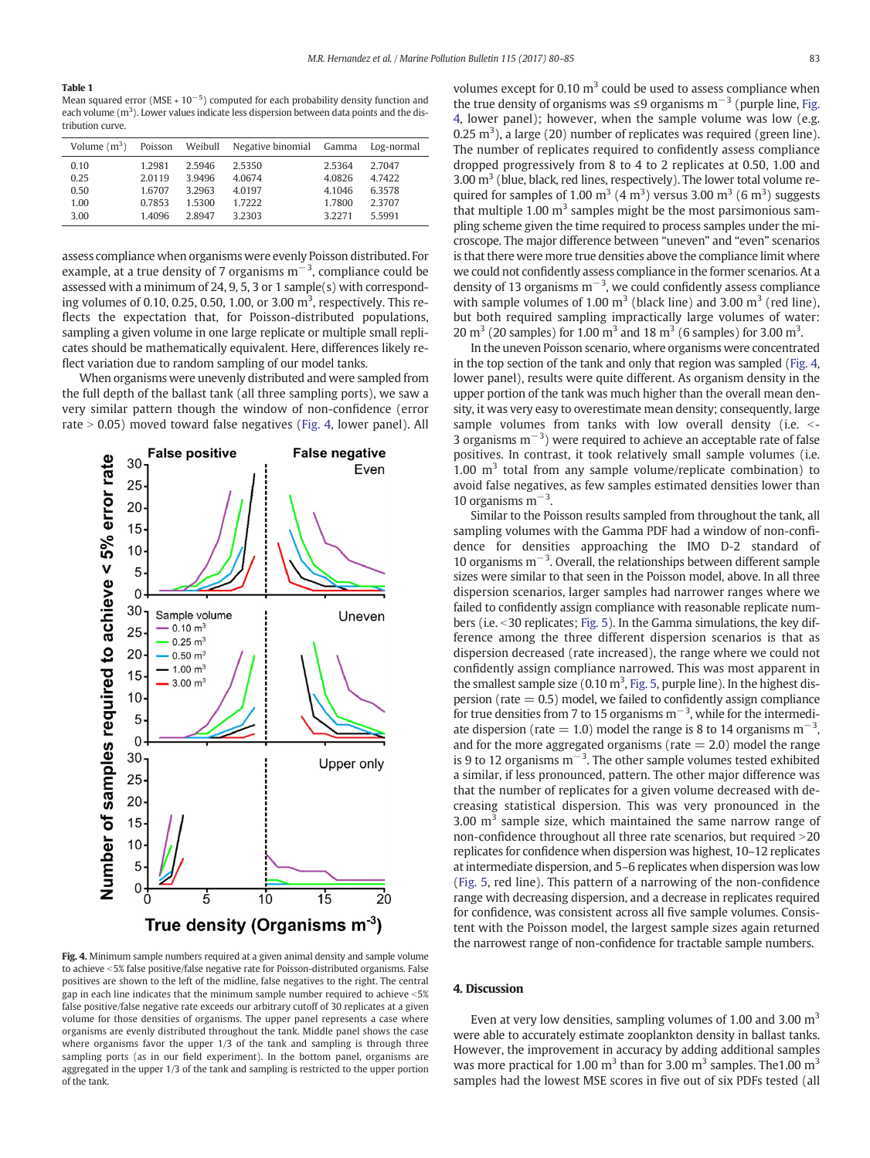#### <span id="page-3-0"></span>Table 1

Mean squared error (MSE  $* 10^{-5}$ ) computed for each probability density function and each volume  $(m^3)$ . Lower values indicate less dispersion between data points and the distribution curve.

| Volume $(m^3)$ Poisson Weibull |        |        | Negative binomial Gamma |           | Log-normal |
|--------------------------------|--------|--------|-------------------------|-----------|------------|
| 0.10                           | 1.2981 | 2.5946 | 2.5350                  | 2.5364    | 2.7047     |
| 0.25                           | 2.0119 | 3.9496 | 4.0674                  | 4.0826    | 4.7422     |
| 0.50                           | 1.6707 | 3.2963 | 4.0197                  | 4.1046    | 6.3578     |
| 1.00                           | 0.7853 | 1.5300 | 1.7222                  | 1.7800    | 2.3707     |
| 3.00                           | 14096  | 2.8947 | 3.2303                  | 3 2 2 7 1 | 5.5991     |

assess compliance when organisms were evenly Poisson distributed. For example, at a true density of 7 organisms m<sup>−3</sup>, compliance could be assessed with a minimum of 24, 9, 5, 3 or 1 sample(s) with corresponding volumes of 0.10, 0.25, 0.50, 1.00, or 3.00  $m<sup>3</sup>$ , respectively. This reflects the expectation that, for Poisson-distributed populations, sampling a given volume in one large replicate or multiple small replicates should be mathematically equivalent. Here, differences likely reflect variation due to random sampling of our model tanks.

When organisms were unevenly distributed and were sampled from the full depth of the ballast tank (all three sampling ports), we saw a very similar pattern though the window of non-confidence (error rate  $> 0.05$ ) moved toward false negatives (Fig. 4, lower panel). All



Fig. 4. Minimum sample numbers required at a given animal density and sample volume to achieve <5% false positive/false negative rate for Poisson-distributed organisms. False positives are shown to the left of the midline, false negatives to the right. The central gap in each line indicates that the minimum sample number required to achieve  $\leq 5\%$ false positive/false negative rate exceeds our arbitrary cutoff of 30 replicates at a given volume for those densities of organisms. The upper panel represents a case where organisms are evenly distributed throughout the tank. Middle panel shows the case where organisms favor the upper 1/3 of the tank and sampling is through three sampling ports (as in our field experiment). In the bottom panel, organisms are aggregated in the upper 1/3 of the tank and sampling is restricted to the upper portion of the tank.

volumes except for 0.10  $m<sup>3</sup>$  could be used to assess compliance when the true density of organisms was ≤9 organisms  $m^{-3}$  (purple line, Fig. 4, lower panel); however, when the sample volume was low (e.g. 0.25  $m<sup>3</sup>$ ), a large (20) number of replicates was required (green line). The number of replicates required to confidently assess compliance dropped progressively from 8 to 4 to 2 replicates at 0.50, 1.00 and 3.00  $m<sup>3</sup>$  (blue, black, red lines, respectively). The lower total volume required for samples of 1.00  $\mathrm{m}^3$  (4  $\mathrm{m}^3$ ) versus 3.00  $\mathrm{m}^3$  (6  $\mathrm{m}^3$ ) suggests that multiple 1.00  $m<sup>3</sup>$  samples might be the most parsimonious sampling scheme given the time required to process samples under the microscope. The major difference between "uneven" and "even" scenarios is that there were more true densities above the compliance limit where we could not confidently assess compliance in the former scenarios. At a density of 13 organisms  $m^{-3}$ , we could confidently assess compliance with sample volumes of 1.00  $m<sup>3</sup>$  (black line) and 3.00  $m<sup>3</sup>$  (red line), but both required sampling impractically large volumes of water: 20 m<sup>3</sup> (20 samples) for 1.00 m<sup>3</sup> and 18 m<sup>3</sup> (6 samples) for 3.00 m<sup>3</sup>.

In the uneven Poisson scenario, where organisms were concentrated in the top section of the tank and only that region was sampled (Fig. 4, lower panel), results were quite different. As organism density in the upper portion of the tank was much higher than the overall mean density, it was very easy to overestimate mean density; consequently, large sample volumes from tanks with low overall density (i.e.  $\le$ -3 organisms  $m^{-3}$ ) were required to achieve an acceptable rate of false positives. In contrast, it took relatively small sample volumes (i.e. 1.00  $m<sup>3</sup>$  total from any sample volume/replicate combination) to avoid false negatives, as few samples estimated densities lower than 10 organisms m−<sup>3</sup> .

Similar to the Poisson results sampled from throughout the tank, all sampling volumes with the Gamma PDF had a window of non-confidence for densities approaching the IMO D-2 standard of 10 organisms m−<sup>3</sup> . Overall, the relationships between different sample sizes were similar to that seen in the Poisson model, above. In all three dispersion scenarios, larger samples had narrower ranges where we failed to confidently assign compliance with reasonable replicate num-bers (i.e. < 30 replicates; [Fig. 5](#page-4-0)). In the Gamma simulations, the key difference among the three different dispersion scenarios is that as dispersion decreased (rate increased), the range where we could not confidently assign compliance narrowed. This was most apparent in the smallest sample size  $(0.10 \text{ m}^3, \text{Fig. 5}, \text{purple line})$ . In the highest dispersion (rate  $= 0.5$ ) model, we failed to confidently assign compliance for true densities from 7 to 15 organisms  $m^{-3}$ , while for the intermediate dispersion (rate = 1.0) model the range is 8 to 14 organisms  $m^{-3}$ , and for the more aggregated organisms (rate  $= 2.0$ ) model the range is 9 to 12 organisms  $m^{-3}$ . The other sample volumes tested exhibited a similar, if less pronounced, pattern. The other major difference was that the number of replicates for a given volume decreased with decreasing statistical dispersion. This was very pronounced in the 3.00  $\mathrm{m}^3$  sample size, which maintained the same narrow range of non-confidence throughout all three rate scenarios, but required  $>$  20 replicates for confidence when dispersion was highest, 10–12 replicates at intermediate dispersion, and 5–6 replicates when dispersion was low [\(Fig. 5,](#page-4-0) red line). This pattern of a narrowing of the non-confidence range with decreasing dispersion, and a decrease in replicates required for confidence, was consistent across all five sample volumes. Consistent with the Poisson model, the largest sample sizes again returned the narrowest range of non-confidence for tractable sample numbers.

## 4. Discussion

Even at very low densities, sampling volumes of 1.00 and 3.00  $m<sup>3</sup>$ were able to accurately estimate zooplankton density in ballast tanks. However, the improvement in accuracy by adding additional samples was more practical for 1.00  $m<sup>3</sup>$  than for 3.00  $m<sup>3</sup>$  samples. The 1.00  $m<sup>3</sup>$ samples had the lowest MSE scores in five out of six PDFs tested (all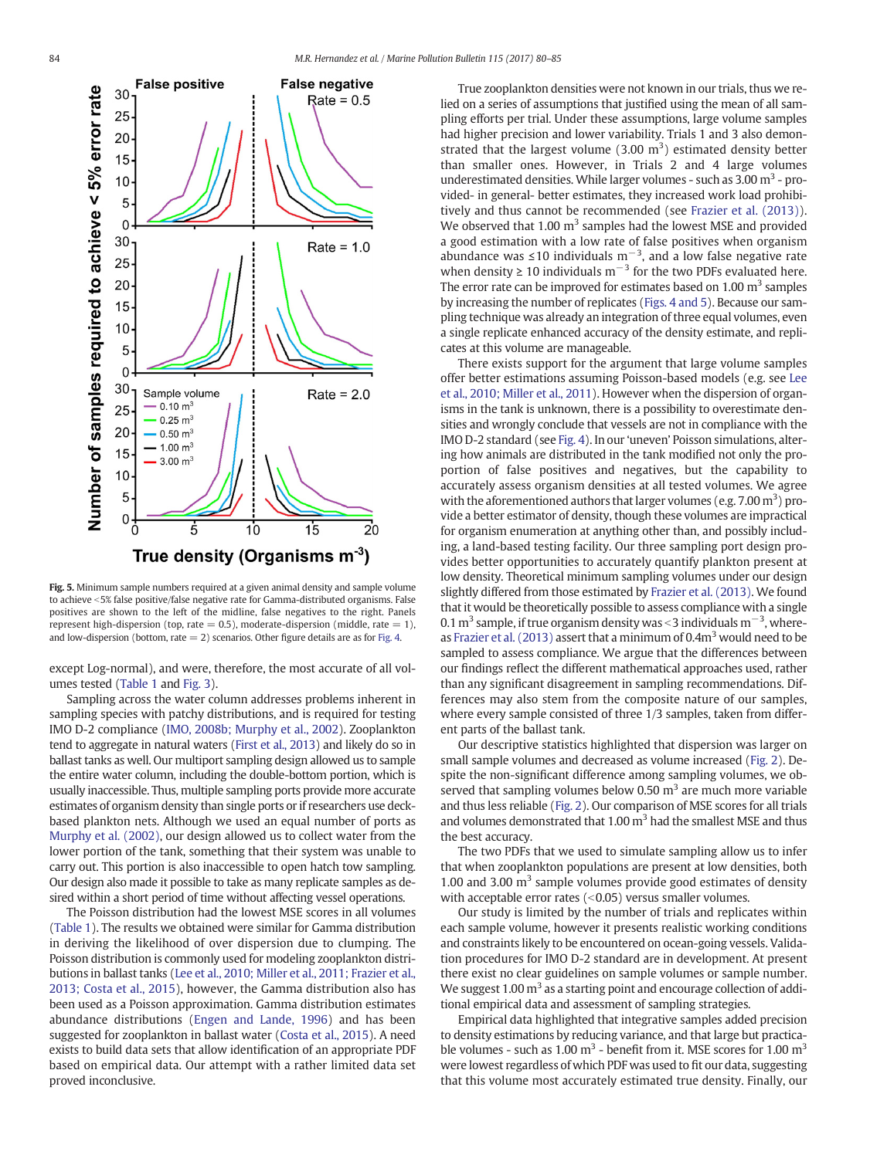<span id="page-4-0"></span>![](_page_4_Figure_2.jpeg)

Fig. 5. Minimum sample numbers required at a given animal density and sample volume to achieve <5% false positive/false negative rate for Gamma-distributed organisms. False positives are shown to the left of the midline, false negatives to the right. Panels represent high-dispersion (top, rate  $= 0.5$ ), moderate-dispersion (middle, rate  $= 1$ ), and low-dispersion (bottom, rate  $= 2$ ) scenarios. Other figure details are as for [Fig. 4.](#page-3-0)

except Log-normal), and were, therefore, the most accurate of all volumes tested [\(Table 1](#page-3-0) and [Fig. 3](#page-2-0)).

Sampling across the water column addresses problems inherent in sampling species with patchy distributions, and is required for testing IMO D-2 compliance [\(IMO, 2008b; Murphy et al., 2002\)](#page-5-0). Zooplankton tend to aggregate in natural waters [\(First et al., 2013\)](#page-5-0) and likely do so in ballast tanks as well. Our multiport sampling design allowed us to sample the entire water column, including the double-bottom portion, which is usually inaccessible. Thus, multiple sampling ports provide more accurate estimates of organism density than single ports or if researchers use deckbased plankton nets. Although we used an equal number of ports as [Murphy et al. \(2002\)](#page-5-0), our design allowed us to collect water from the lower portion of the tank, something that their system was unable to carry out. This portion is also inaccessible to open hatch tow sampling. Our design also made it possible to take as many replicate samples as desired within a short period of time without affecting vessel operations.

The Poisson distribution had the lowest MSE scores in all volumes [\(Table 1\)](#page-3-0). The results we obtained were similar for Gamma distribution in deriving the likelihood of over dispersion due to clumping. The Poisson distribution is commonly used for modeling zooplankton distributions in ballast tanks ([Lee et al., 2010; Miller et al., 2011; Frazier et al.,](#page-5-0) [2013; Costa et al., 2015](#page-5-0)), however, the Gamma distribution also has been used as a Poisson approximation. Gamma distribution estimates abundance distributions ([Engen and Lande, 1996](#page-5-0)) and has been suggested for zooplankton in ballast water ([Costa et al., 2015](#page-5-0)). A need exists to build data sets that allow identification of an appropriate PDF based on empirical data. Our attempt with a rather limited data set proved inconclusive.

True zooplankton densities were not known in our trials, thus we relied on a series of assumptions that justified using the mean of all sampling efforts per trial. Under these assumptions, large volume samples had higher precision and lower variability. Trials 1 and 3 also demonstrated that the largest volume  $(3.00 \text{ m}^3)$  estimated density better than smaller ones. However, in Trials 2 and 4 large volumes underestimated densities. While larger volumes - such as  $3.00 \text{ m}^3$  - provided- in general- better estimates, they increased work load prohibitively and thus cannot be recommended (see [Frazier et al. \(2013\)](#page-5-0)). We observed that 1.00  $m<sup>3</sup>$  samples had the lowest MSE and provided a good estimation with a low rate of false positives when organism abundance was ≤10 individuals m<sup>-3</sup>, and a low false negative rate when density ≥ 10 individuals  $m^{-3}$  for the two PDFs evaluated here. The error rate can be improved for estimates based on  $1.00 \text{ m}^3$  samples by increasing the number of replicates [\(Figs. 4 and 5](#page-3-0)). Because our sampling technique was already an integration of three equal volumes, even a single replicate enhanced accuracy of the density estimate, and replicates at this volume are manageable.

There exists support for the argument that large volume samples offer better estimations assuming Poisson-based models (e.g. see [Lee](#page-5-0) [et al., 2010; Miller et al., 2011](#page-5-0)). However when the dispersion of organisms in the tank is unknown, there is a possibility to overestimate densities and wrongly conclude that vessels are not in compliance with the IMO D-2 standard (see [Fig. 4](#page-3-0)). In our 'uneven' Poisson simulations, altering how animals are distributed in the tank modified not only the proportion of false positives and negatives, but the capability to accurately assess organism densities at all tested volumes. We agree with the aforementioned authors that larger volumes (e.g.  $7.00\,\mathrm{m}^3$ ) provide a better estimator of density, though these volumes are impractical for organism enumeration at anything other than, and possibly including, a land-based testing facility. Our three sampling port design provides better opportunities to accurately quantify plankton present at low density. Theoretical minimum sampling volumes under our design slightly differed from those estimated by [Frazier et al. \(2013\)](#page-5-0). We found that it would be theoretically possible to assess compliance with a single 0.1 m<sup>3</sup> sample, if true organism density was <3 individuals m<sup>-3</sup>, whereas Frazier et al.  $(2013)$  assert that a minimum of 0.4m<sup>3</sup> would need to be sampled to assess compliance. We argue that the differences between our findings reflect the different mathematical approaches used, rather than any significant disagreement in sampling recommendations. Differences may also stem from the composite nature of our samples, where every sample consisted of three 1/3 samples, taken from different parts of the ballast tank.

Our descriptive statistics highlighted that dispersion was larger on small sample volumes and decreased as volume increased [\(Fig. 2\)](#page-2-0). Despite the non-significant difference among sampling volumes, we observed that sampling volumes below 0.50  $m<sup>3</sup>$  are much more variable and thus less reliable [\(Fig. 2](#page-2-0)). Our comparison of MSE scores for all trials and volumes demonstrated that 1.00  $m<sup>3</sup>$  had the smallest MSE and thus the best accuracy.

The two PDFs that we used to simulate sampling allow us to infer that when zooplankton populations are present at low densities, both 1.00 and 3.00  $m<sup>3</sup>$  sample volumes provide good estimates of density with acceptable error rates  $(<0.05)$  versus smaller volumes.

Our study is limited by the number of trials and replicates within each sample volume, however it presents realistic working conditions and constraints likely to be encountered on ocean-going vessels. Validation procedures for IMO D-2 standard are in development. At present there exist no clear guidelines on sample volumes or sample number. We suggest  $1.00 \text{ m}^3$  as a starting point and encourage collection of additional empirical data and assessment of sampling strategies.

Empirical data highlighted that integrative samples added precision to density estimations by reducing variance, and that large but practicable volumes - such as  $1.00 \text{ m}^3$  - benefit from it. MSE scores for  $1.00 \text{ m}^3$ were lowest regardless of which PDF was used to fit our data, suggesting that this volume most accurately estimated true density. Finally, our